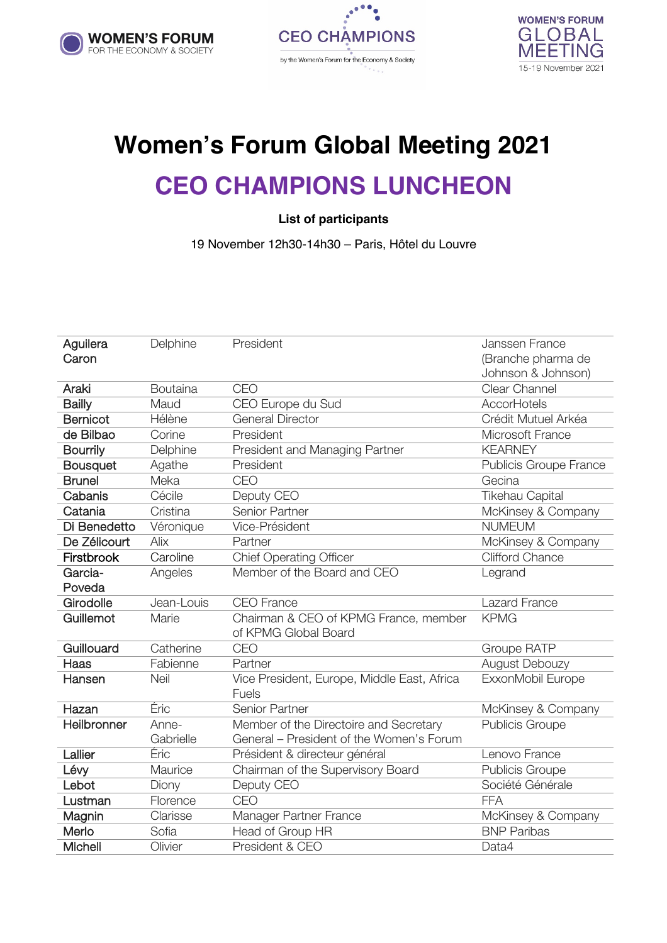





## **Women's Forum Global Meeting 2021 CEO CHAMPIONS LUNCHEON**

**List of participants**

19 November 12h30-14h30 – Paris, Hôtel du Louvre

| Aguilera         | Delphine   | President                                   | Janssen France                |
|------------------|------------|---------------------------------------------|-------------------------------|
| Caron            |            |                                             | (Branche pharma de            |
|                  |            |                                             | Johnson & Johnson)            |
| Araki            | Boutaina   | CEO                                         | Clear Channel                 |
| <b>Bailly</b>    | Maud       | CEO Europe du Sud                           | <b>AccorHotels</b>            |
| <b>Bernicot</b>  | Hélène     | <b>General Director</b>                     | Crédit Mutuel Arkéa           |
| de Bilbao        | Corine     | President                                   | Microsoft France              |
| <b>Bourrily</b>  | Delphine   | President and Managing Partner              | <b>KEARNEY</b>                |
| <b>Bousquet</b>  | Agathe     | President                                   | <b>Publicis Groupe France</b> |
| <b>Brunel</b>    | Meka       | CEO                                         | Gecina                        |
| Cabanis          | Cécile     | Deputy CEO                                  | <b>Tikehau Capital</b>        |
| Catania          | Cristina   | Senior Partner                              | McKinsey & Company            |
| Di Benedetto     | Véronique  | Vice-Président                              | <b>NUMEUM</b>                 |
| De Zélicourt     | Alix       | Partner                                     | McKinsey & Company            |
| Firstbrook       | Caroline   | Chief Operating Officer                     | <b>Clifford Chance</b>        |
| Garcia-          | Angeles    | Member of the Board and CEO                 | Legrand                       |
| Poveda           |            |                                             |                               |
|                  |            |                                             |                               |
| Girodolle        | Jean-Louis | <b>CEO</b> France                           | Lazard France                 |
| Guillemot        | Marie      | Chairman & CEO of KPMG France, member       | <b>KPMG</b>                   |
|                  |            | of KPMG Global Board                        |                               |
| Guillouard       | Catherine  | CEO                                         | Groupe RATP                   |
| Haas             | Fabienne   | Partner                                     | <b>August Debouzy</b>         |
| Hansen           | Neil       | Vice President, Europe, Middle East, Africa | ExxonMobil Europe             |
|                  |            | <b>Fuels</b>                                |                               |
| Hazan            | Éric       | Senior Partner                              | McKinsey & Company            |
| Heilbronner      | Anne-      | Member of the Directoire and Secretary      | <b>Publicis Groupe</b>        |
|                  | Gabrielle  | General – President of the Women's Forum    |                               |
| Lallier          | Éric       | Président & directeur général               | Lenovo France                 |
| Lévy             | Maurice    | Chairman of the Supervisory Board           | Publicis Groupe               |
| Lebot            | Diony      | Deputy CEO                                  | Société Générale              |
| Lustman          | Florence   | CEO                                         | <b>FFA</b>                    |
| Magnin           | Clarisse   | Manager Partner France                      | McKinsey & Company            |
| Merlo<br>Micheli | Sofia      | Head of Group HR<br>President & CEO         | <b>BNP Paribas</b>            |